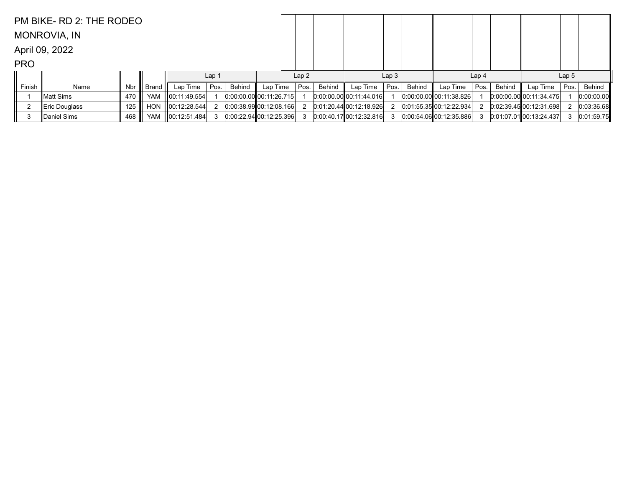|            | PM BIKE- RD 2: THE RODEO |     |         |                    |                  |        |                           |      |        |                           |                  |        |                           |                  |        |                             |                  |            |
|------------|--------------------------|-----|---------|--------------------|------------------|--------|---------------------------|------|--------|---------------------------|------------------|--------|---------------------------|------------------|--------|-----------------------------|------------------|------------|
|            | <b>MONROVIA, IN</b>      |     |         |                    |                  |        |                           |      |        |                           |                  |        |                           |                  |        |                             |                  |            |
|            | April 09, 2022           |     |         |                    |                  |        |                           |      |        |                           |                  |        |                           |                  |        |                             |                  |            |
| <b>PRO</b> |                          |     |         |                    |                  |        |                           |      |        |                           |                  |        |                           |                  |        |                             |                  |            |
|            |                          |     |         |                    | Lap <sub>1</sub> |        |                           | Lap2 |        |                           | Lap <sub>3</sub> |        |                           | Lap <sub>4</sub> |        |                             | Lap <sub>5</sub> |            |
| Finish     | Name                     | Nbr | Brand I | Lap Time $ Pos$ .  |                  | Behind | Lap Time                  | Pos. | Behind | Lap Time                  | Pos.             | Behind | Lap Time                  | Pos.             | Behind | Lap Time                    | Pos.             | Behind     |
|            | lMatt Sims               | 470 |         | YAM 100:11:49.554  |                  |        | $0:00:00.00$ 00:11:26.715 |      |        | $0:00.00.00$ 00:11:44.016 |                  |        | 0.00.00.00 00.11.38.826   |                  |        | $[0.00:00.00]$ 00:11:34.475 |                  | 0:00:00.00 |
|            | ∥Eric Douglass           | 125 | HON     | $\ 00:12:28.544\ $ |                  |        | 0.00.38.9900.12.08.166    |      |        | 0.01.20.44 00.12.18.926   |                  |        | $0:01:55.35$ 00:12:22.934 |                  |        | 0.02.39.45 00.12.31.698     |                  | 0:03:36.68 |
| 3          | Daniel Sims              | 468 | YAM     | $\ 00:12:51.484\ $ |                  |        | $0:00:22.94$ 00:12:25.396 |      |        | 0:00.40.1700:12:32.816    |                  |        | $0:00:54.06$ 00:12:35.886 |                  |        | $0.01.07.01$ 00:13:24.437   | 3                | 0:01:59.75 |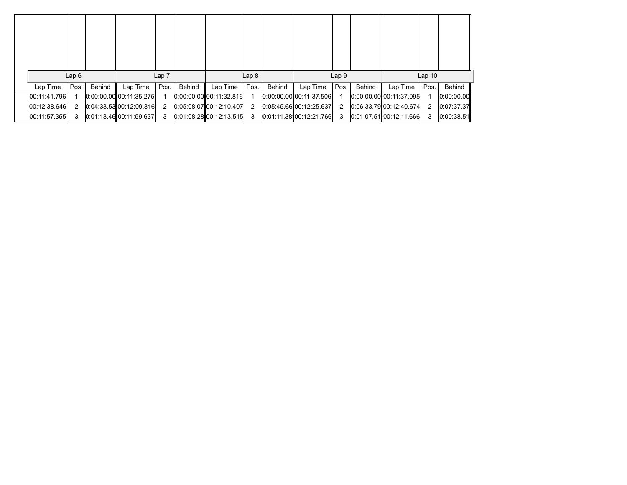|              | Lap6 |        |                           | Lap <sub>7</sub> |        |                                 | Lap <sub>8</sub> |        |                         | Lap <sub>9</sub> |        |                         | Lap <sub>10</sub> |            |
|--------------|------|--------|---------------------------|------------------|--------|---------------------------------|------------------|--------|-------------------------|------------------|--------|-------------------------|-------------------|------------|
|              |      |        |                           |                  |        |                                 |                  |        |                         |                  |        |                         |                   |            |
| Lap Time     | Pos. | Behind | Lap Time                  | Pos.             | Behind | Lap Time                        | Pos.             | Behind | Lap Time                | Pos.             | Behind | Lap Time                | Pos.              | Behind     |
| 00:11:41.796 |      |        | $0:00:00.00$ 00:11:35.275 |                  |        | $0.00.00.00$ 00:11:32.816       |                  |        | 0.00:00.00 00:11:37.506 |                  |        | 0.00:00.00 00:11:37.095 |                   | 0:00:00.00 |
| 00:12:38.646 | 2    |        | $0:04:33:53$ 00:12:09.816 | 2                |        | $[0:05:08.07]$ $[00:12:10.407]$ | -2               |        | 0.05.45.66000.12.25.637 | -2               |        | 0.06.33.79 00.12.40.674 | 2                 | 0:07:37.37 |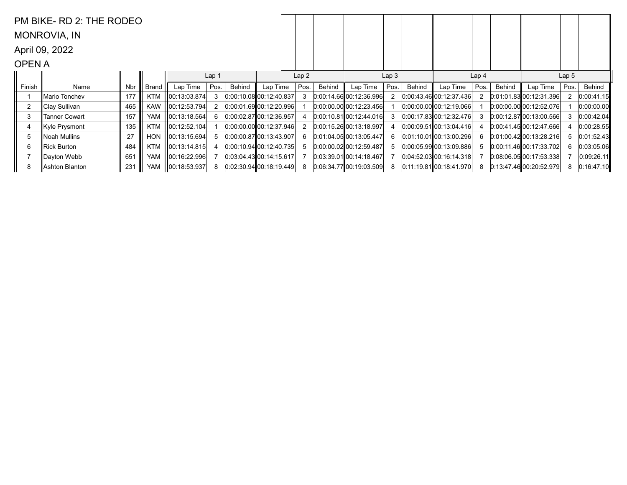|                | PM BIKE-RD 2: THE RODEO |     |            |                    |       |        |                             |      |        |                             |                  |        |                             |                  |        |                             |                  |            |
|----------------|-------------------------|-----|------------|--------------------|-------|--------|-----------------------------|------|--------|-----------------------------|------------------|--------|-----------------------------|------------------|--------|-----------------------------|------------------|------------|
|                | MONROVIA, IN            |     |            |                    |       |        |                             |      |        |                             |                  |        |                             |                  |        |                             |                  |            |
|                | April 09, 2022          |     |            |                    |       |        |                             |      |        |                             |                  |        |                             |                  |        |                             |                  |            |
| <b>OPENA</b>   |                         |     |            |                    |       |        |                             |      |        |                             |                  |        |                             |                  |        |                             |                  |            |
|                |                         |     |            |                    | Lap 1 |        |                             | Lap2 |        |                             | Lap <sub>3</sub> |        |                             | Lap <sub>4</sub> |        |                             | Lap <sub>5</sub> |            |
| Finish         | Name                    | Nbr | Brand      | Lap Time           | Pos.  | Behind | Lap Time                    | Pos. | Behind | Lap Time                    | Pos.             | Behind | Lap Time                    | Pos.             | Behind | Lap Time                    | Pos.             | Behind     |
|                | Mario Tonchev           | 177 | <b>KTM</b> | ∥00:13:03.874      | 3     |        | $[0:00:10.08]$ 00:12:40.837 |      |        | 0.00:14.6600:12.36.996      |                  |        | $0.00:43.46$ 00:12:37.436   | 2                |        | 0.01.01.83 00.12.31.396     |                  | 0:00:41.15 |
| $\overline{2}$ | ∥Clay Sullivan          | 465 | <b>KAW</b> | ∥00:12:53.794      | 2     |        | 0.00:01.69 00:12:20.996     |      |        | $0:00:00.00$ 00:12:23.456   |                  |        | $0.00.00.00$ 00:12:19.066   |                  |        | 0.00.00.00000:12.52.076     |                  | 0:00:00.00 |
| 3              | Tanner Cowart           | 157 | <b>YAM</b> | ∥00:13:18.564 $ $  | 6     |        | $[0.00:02.87]$ 00:12:36.957 |      |        | $[0.00:10.81]$ 00:12:44.016 |                  |        | 0.00:17.8300:12:32.476      |                  |        | 0.00:12.8700:13.00.566      |                  | 0:00:42.04 |
| 4              | Kyle Prysmont           | 135 | <b>KTM</b> | 00:12:52.104       |       |        | 0.00.00.00 00.12.37.946     |      |        | 0.00:15.26 00:13:18.997     |                  |        | $0.00.09.51$ $00.13.04.416$ |                  |        | 0.00:41.4500:12:47.666      |                  | 0:00:28.55 |
| 5              | Noah Mullins            | 27  | <b>HON</b> | ∥00:13:15.694      | 5     |        | 0.00.00.87100.13.43.907     |      |        | $0.01:04.05$ 00:13:05.447   |                  |        | $0.01:10.01$ 00:13:00.296   | 6.               |        | 0.01:00.42100:13:28.216     | 5                | 0:01:52.43 |
| 6              | Rick Burton             | 484 | <b>KTM</b> | 00:13:14.815       | 4     |        | $[0.00:10.94]$ 00:12:40.735 |      |        | $0:00:00.02$ 00:12:59.487   |                  |        | 0.00.05.99 00.13.09.886     | 5.               |        | $[0:00:11.46]$ 00:17:33.702 |                  | 0:03:05.06 |
|                | ∥Dayton Webb            | 651 | <b>YAM</b> | III00:16:22.996I   |       |        | $[0.03.04.43]$ 00:14:15.617 |      |        | $[0.03:39.01]$ 00:14:18.467 |                  |        | $0.04:52.03$ 00:16:14.318   |                  |        | 0.08:06.0500:17:53.338      |                  | 0:09:26.11 |
| 8              | Ashton Blanton          | 231 | <b>YAM</b> | $\ 00:18:53.937\ $ | 8     |        | $0.02:30.94$ 00:18:19.449   |      |        | 0.06.34.7700.19.03.509      | 8                |        | $0.11:19.81$ $00:18:41.970$ | 8                |        | 0.13:47.4600:20:52.979      | 8                | 0:16:47.10 |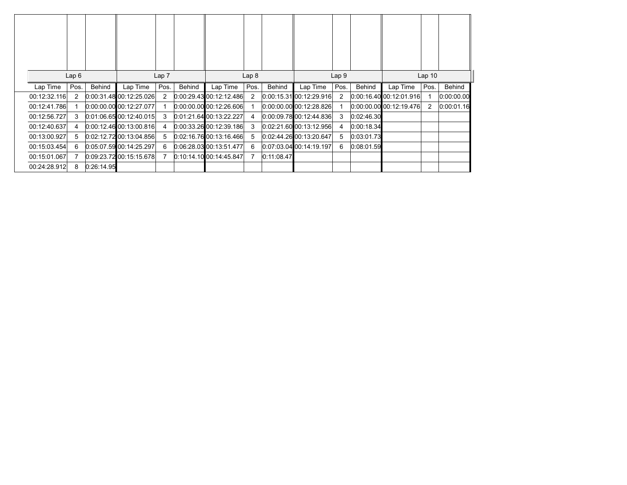|              | Lap6 |            |                                 | Lap <sub>7</sub> |        |                                 | Lap <sub>8</sub> |            |                                | Lap <sub>9</sub> |            |                             | Lap <sub>10</sub> |               |
|--------------|------|------------|---------------------------------|------------------|--------|---------------------------------|------------------|------------|--------------------------------|------------------|------------|-----------------------------|-------------------|---------------|
| Lap Time     | Pos. | Behind     | Lap Time                        | Pos.             | Behind | Lap Time                        | Pos.             | Behind     | Lap Time                       | Pos.             | Behind     | Lap Time                    | Pos.              | <b>Behind</b> |
| 00:12:32.116 | 2    |            | $0:00:31.48$ 00:12:25.026       | 2                |        | $[0:00:29.43]$ 00:12:12.486     | 2                |            | $[0:00:15.31]$ 00:12:29.916    | 2                |            | 0.00, 16.40, 00, 12.01, 916 |                   | 0:00:00.00    |
| 00:12:41.786 |      |            | $[0:00:00.00]$ $[00:12:27.077]$ |                  |        | $[0:00:00.00]$ $[00:12:26.606]$ |                  |            | $[0:00:00.00]$ $[0:12:28.826]$ |                  |            | 0:00:00.00 00:12:19.476     | 2                 | 0:00:01.16    |
| 00:12:56.727 | 3    |            | 0.01:06.6500:12:40.015          | 3                |        | 0:01:21.64 00:13:22.227         | 4                |            | $[0.00:09.78]$ 00:12:44.836    | 3                | 0:02:46.30 |                             |                   |               |
| 00:12:40.637 | 4    |            | $0.00:12.46$ 00:13:00.816       | 4                |        | $0:00:33.26$ 00:12:39.186       | 3                |            | $[0.02:21.60]$ 00:13:12.956    | 4                | 0:00:18.34 |                             |                   |               |
| 00:13:00.927 | 5.   |            | $0:02:12.72$ 00:13:04.856       | 5                |        | $0:02:16.76$ 00:13:16.466       | 5                |            | 0.02:44.26 00:13:20.647        | 5                | 0:03:01.73 |                             |                   |               |
| 00:15:03.454 | 6    |            | 0.05:07.5900:14:25.297          | 6                |        | 0:06:28.03 00:13:51.477         | 6                |            | 0:07:03.04 00:14:19.197        | 6                | 0:08:01.59 |                             |                   |               |
| 00:15:01.067 |      |            | $0:09:23.72$ 00:15:15.678       |                  |        | 0:10:14.10 00:14:45.847         | 7                | 0:11:08.47 |                                |                  |            |                             |                   |               |
| 00:24:28.912 | 8    | 0.26:14.95 |                                 |                  |        |                                 |                  |            |                                |                  |            |                             |                   |               |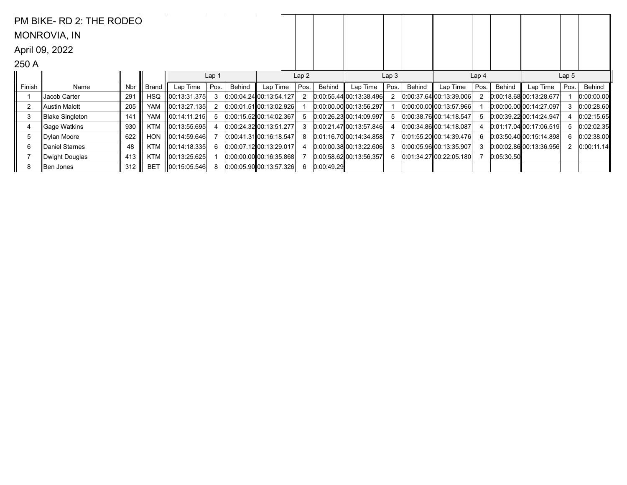|                | PM BIKE-RD 2: THE RODEO |     |              |                    |                  |        |                             |      |            |                             |                  |        |                           |                  |            |                             |                  |            |
|----------------|-------------------------|-----|--------------|--------------------|------------------|--------|-----------------------------|------|------------|-----------------------------|------------------|--------|---------------------------|------------------|------------|-----------------------------|------------------|------------|
|                | MONROVIA, IN            |     |              |                    |                  |        |                             |      |            |                             |                  |        |                           |                  |            |                             |                  |            |
|                | April 09, 2022          |     |              |                    |                  |        |                             |      |            |                             |                  |        |                           |                  |            |                             |                  |            |
| 250 A          |                         |     |              |                    |                  |        |                             |      |            |                             |                  |        |                           |                  |            |                             |                  |            |
|                |                         |     |              |                    | Lap <sub>1</sub> |        |                             | Lap2 |            |                             | Lap <sub>3</sub> |        |                           | Lap <sub>4</sub> |            |                             | Lap <sub>5</sub> |            |
| Finish         | Name                    | Nbr | <b>Brand</b> | Lap Time           | Pos.             | Behind | Lap Time                    | Pos. | Behind     | Lap Time                    | Pos.             | Behind | Lap Time                  | Pos.             | Behind     | Lap Time                    | Pos.             | Behind     |
|                | Jacob Carter            | 291 | <b>HSQ</b>   | 00:13:31.375       | 3                |        | $[0.00:04.24]$ 00:13:54.127 |      |            | $[0:00:55.44]$ 00:13:38.496 |                  |        | 0.00:37.6400:13:39.006    |                  |            | $[0:00:18.68]$ 00:13:28.677 |                  | 0:00:00.00 |
| $\overline{2}$ | ∥Austin Malott          | 205 | <b>YAM</b>   | 00:13:27.135       | 2                |        | $0.00:01.51$ 00:13:02.926   |      |            | $0:00:00.00$ 00:13:56.297   |                  |        | $0:00:00.00$ 00:13:57.966 |                  |            | $0:00:00.00$ 00:14:27.097   | 3                | 0:00:28.60 |
| 3              | Blake Singleton         | 141 | <b>YAM</b>   | ∥00:14:11.215      | 5                |        | $0:00:15.52$ 00:14:02.367   |      |            | 0.002623001409.997          |                  |        | 0.00.38.7600.14.18.547    | 5                |            | $[0.00.39.22]$ 00:14:24.947 |                  | 0:02:15.65 |
| 4              | ∥Gaqe Watkins           | 930 | <b>KTM</b>   |                    |                  |        | 0:00:24.32100:13:51.277     |      |            | $[0.00.21.47]$ 00:13:57.846 |                  |        | 0.00.34.86100.14.18.087   |                  |            | $0:01:17.04$ 00:17:06.519   | 5                | 0:02:02.35 |
| 5              | Dylan Moore             | 622 | <b>HON</b>   | 100:14:59.646      |                  |        | $[0.00:41.31]$ 00:16:18.547 |      |            | 0.01.16.70000.14.34858      |                  |        | $0:01:55.20$ 00:14:39.476 | 6.               |            | 0.03.50.40[00.15.14.898]    | 6                | 0:02:38.00 |
| 6              | ∥Daniel Starnes         | 48  | <b>KTM</b>   | $\ 00:14:18.335\ $ | 6                |        | $[0.00:07.12]$ 00:13:29.017 |      |            | 0.00.00.38000.13.22.606     |                  |        | $0:00:05.96$ 00:13:35.907 | 3                |            | 0.00.02.86 00.13.36.956     |                  | 0:00:11.14 |
|                | Dwight Douglas          | 413 | <b>KTM</b>   | ∥00:13:25.625      |                  |        | $[0.00:00.00]$ 00:16:35.868 |      |            | $0:00:58.62$ 00:13:56.357   | 6                |        | 0.01:34.2700:22:05.180    |                  | 0:05:30.50 |                             |                  |            |
| 8              | Ben Jones               | 312 | <b>BET</b>   | 00:15:05.546       | 8                |        | $0:00:05.90$ 00:13:57.326   |      | 0:00:49.29 |                             |                  |        |                           |                  |            |                             |                  |            |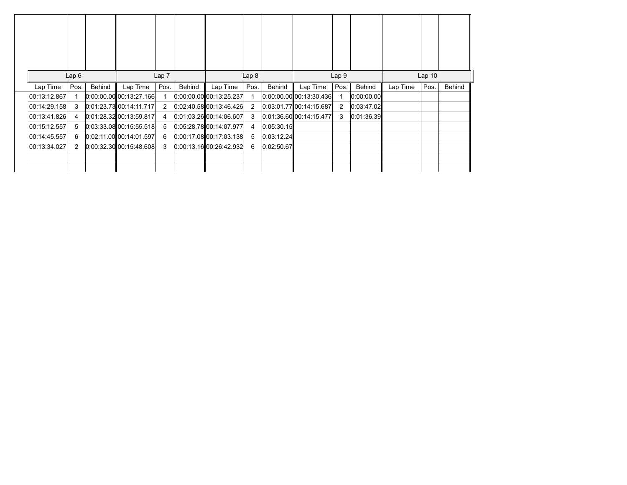|              | Lap6           |        |                           | Lap 7          |               |                           | Lap <sub>8</sub> |               |                             | Lap <sub>9</sub> |               |          | Lap <sub>10</sub> |               |
|--------------|----------------|--------|---------------------------|----------------|---------------|---------------------------|------------------|---------------|-----------------------------|------------------|---------------|----------|-------------------|---------------|
| Lap Time     | Pos.           | Behind | Lap Time                  | Pos.           | <b>Behind</b> | Lap Time                  | Pos.             | <b>Behind</b> | Lap Time                    | Pos.             | <b>Behind</b> | Lap Time | Pos.              | <b>Behind</b> |
| 00:13:12.867 |                |        | $0.00.00.00$ 00:13:27.166 |                |               | $0:00:00.00$ 00:13:25.237 |                  |               | $[0.00.00.00]$ 00:13:30.436 |                  | 0:00:00.00    |          |                   |               |
| 00:14:29.158 | 3              |        | 0.01.23.7300:14.11.717    | $\overline{2}$ |               | $0.02:40.58$ 00:13:46.426 | $\overline{2}$   |               | [0.03.01.77]00.14.15.687]   | $\overline{2}$   | 0:03:47.02    |          |                   |               |
| 00:13:41.826 | 4              |        | 0.01.28.32 00.13.59.817   | 4              |               | 0.01.03.26100.14.06.607   | 3                |               | $[0.01:36.60]$ 00:14:15.477 | 3                | 0:01:36.39    |          |                   |               |
| 00:15:12.557 | 5              |        | $0.03.33.08$ 00:15:55.518 | 5              |               | $0:05:28.78$ 00:14:07.977 | 4                | 0:05:30.15    |                             |                  |               |          |                   |               |
| 00:14:45.557 | 6              |        | $0.02:11.00$ 00:14:01.597 | 6              |               | $0:00:17.08$ 00:17:03.138 | 5                | 0:03:12.24    |                             |                  |               |          |                   |               |
| 00:13:34.027 | $\overline{2}$ |        | $0:00:32:30$ 00:15:48.608 | 3              |               | $0:00:13.16$ 00:26:42.932 | 6                | 0:02:50.67    |                             |                  |               |          |                   |               |
|              |                |        |                           |                |               |                           |                  |               |                             |                  |               |          |                   |               |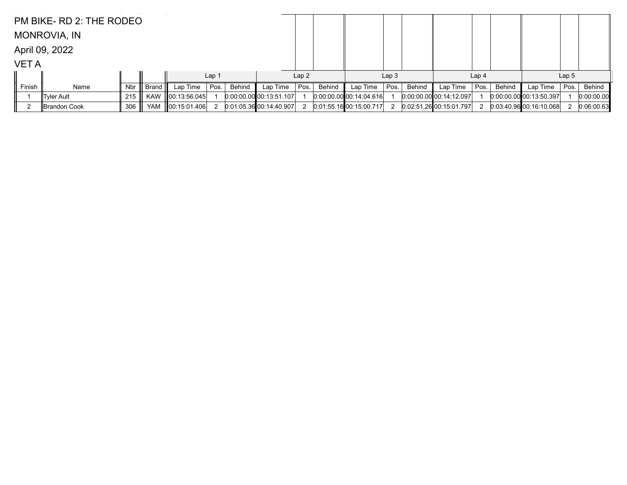|             | PM BIKE- RD 2: THE RODEO |     |            |                    |                  |        |                           |      |        |                           |                  |        |                           |                  |               |                             |                  |            |
|-------------|--------------------------|-----|------------|--------------------|------------------|--------|---------------------------|------|--------|---------------------------|------------------|--------|---------------------------|------------------|---------------|-----------------------------|------------------|------------|
|             | <b>MONROVIA, IN</b>      |     |            |                    |                  |        |                           |      |        |                           |                  |        |                           |                  |               |                             |                  |            |
|             | April 09, 2022           |     |            |                    |                  |        |                           |      |        |                           |                  |        |                           |                  |               |                             |                  |            |
| <b>VETA</b> |                          |     |            |                    |                  |        |                           |      |        |                           |                  |        |                           |                  |               |                             |                  |            |
|             |                          |     |            |                    | Lap <sub>1</sub> |        |                           | Lap2 |        |                           | Lap <sub>3</sub> |        |                           | Lap <sub>4</sub> |               |                             | Lap <sub>5</sub> |            |
| Finish      | Name                     | Nbr | Brand      | Lap Time           | Pos.             | Behind | Lap Time                  | Pos. | Behind | Lap Time                  | Pos.             | Behind | Lap Time                  | Pos.             | <b>Behind</b> | Lap Time                    | Pos.             | Behind     |
|             | Tyler Ault               | 215 | <b>KAW</b> | $\ 00:13:56.045\ $ |                  |        | $0:00:00.00$ 00:13:51.107 |      |        | $0:00:00.00$ 00:14:04.616 |                  |        | $0.00.00.00$ 00:14:12.097 |                  |               | $[0.00:00.00]$ 00:13:50.397 |                  | 0:00:00.00 |
|             | ∥Brandon Cook            | 306 | YAM        | 00:15:01.406       |                  |        | $0:01:05.36$ 00:14:40.907 |      |        | 0.01:55.1600:15:00.717    |                  |        | 0.02.51.26000.15.01.797   |                  |               | $0.03,40.96$ 00:16:10.068   |                  | 0:06:00.63 |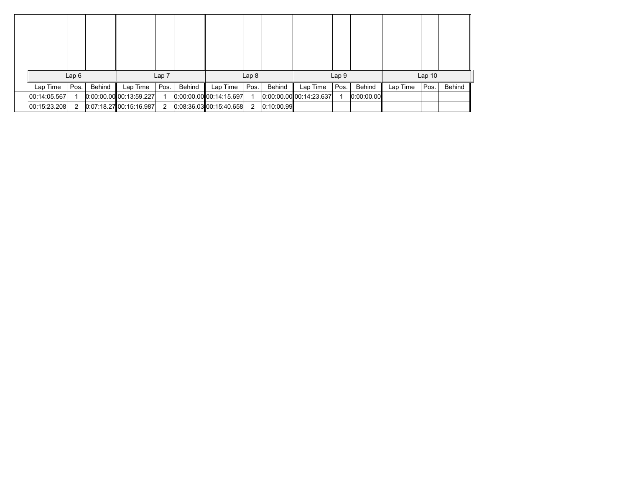|              | Lap6 |        |                           | Lap <sub>7</sub> |        |                           | Lap <sub>8</sub> |            |                             | Lap <sub>9</sub> |            |          | Lap <sub>10</sub> |        |
|--------------|------|--------|---------------------------|------------------|--------|---------------------------|------------------|------------|-----------------------------|------------------|------------|----------|-------------------|--------|
| Lap Time     | Pos. | Behind | Lap Time                  | Pos.             | Behind | Lap Time                  | Pos.             | Behind     | Lap Time                    | Pos.             | Behind     | Lap Time | Pos.              | Behind |
| 00:14:05.567 |      |        | $0:00:00.00$ 00:13:59.227 |                  |        | $0:00.00$ 00 00 14:15.697 |                  |            | $[0.00.00.00]$ 00:14:23.637 |                  | 0:00:00.00 |          |                   |        |
| 00:15:23.208 | 2    |        | 0.07:18.2700:15:16.987    | $\overline{2}$   |        | 0.083603001540658         | 2                | 0:10:00.99 |                             |                  |            |          |                   |        |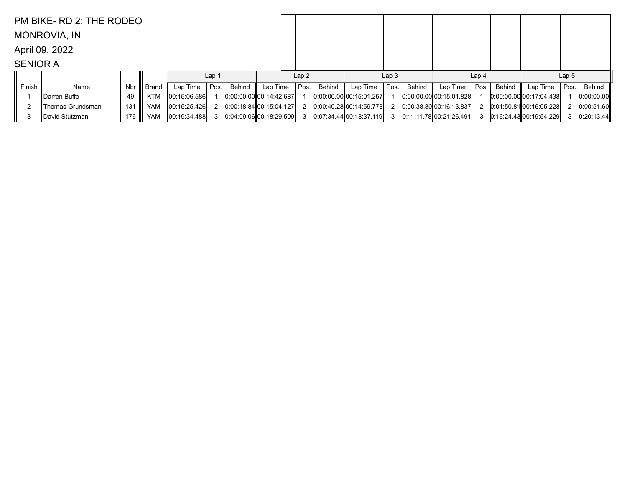|                 | PM BIKE- RD 2: THE RODEO |     |            |                    |                  |        |                           |      |        |                         |                  |        |                           |                  |        |                             |                  |            |
|-----------------|--------------------------|-----|------------|--------------------|------------------|--------|---------------------------|------|--------|-------------------------|------------------|--------|---------------------------|------------------|--------|-----------------------------|------------------|------------|
|                 | <b>MONROVIA, IN</b>      |     |            |                    |                  |        |                           |      |        |                         |                  |        |                           |                  |        |                             |                  |            |
|                 | April 09, 2022           |     |            |                    |                  |        |                           |      |        |                         |                  |        |                           |                  |        |                             |                  |            |
| <b>SENIOR A</b> |                          |     |            |                    |                  |        |                           |      |        |                         |                  |        |                           |                  |        |                             |                  |            |
|                 |                          |     |            |                    | Lap <sub>1</sub> |        |                           | Lap2 |        |                         | Lap <sub>3</sub> |        |                           | Lap <sub>4</sub> |        |                             | Lap <sub>5</sub> |            |
| Finish          | Name                     | Nbr | Brand      | Lap Time $ $ Pos.  |                  | Behind | Lap Time                  | Pos. | Behind | Lap Time                | Pos.             | Behind | Lap Time                  | Pos.             | Behind | Lap Time                    | Pos.             | Behind     |
|                 | ∥Darren Buffo            | 49  | <b>KTM</b> | 00:15:06.586       |                  |        | $0:00:00.00$ 00:14:42.687 |      |        | 0.00.00.00 00.15.01.257 |                  |        | $0:00:00.00$ 00:15:01.828 |                  |        | $[0.00:00.00]$ 00:17:04.438 |                  | 0:00:00.00 |
|                 | Thomas Grundsman         | 131 | <b>YAM</b> | 00:15:25.426       |                  |        | 0.00:18.8400:15.04.127    |      |        | 0:00.40.2800:14:59.778  |                  |        | $0:00:38.80$ 00:16:13.837 |                  |        | $0.01:50.81$ 00:16:05.228   |                  | 0:00:51.60 |
| 3               | ∥David Stutzman          | 176 | <b>YAM</b> | $\ 00:19:34.488\ $ |                  |        | 0.04.09.06000.18.29.509   |      |        | 0.07.34.44 00.18.37.119 |                  |        | 0:11:11.78 00:21:26.491   |                  |        | $0:16:24.43$ 00:19:54.229   |                  | 0:20:13.44 |
|                 |                          |     |            |                    |                  |        |                           |      |        |                         |                  |        |                           |                  |        |                             |                  |            |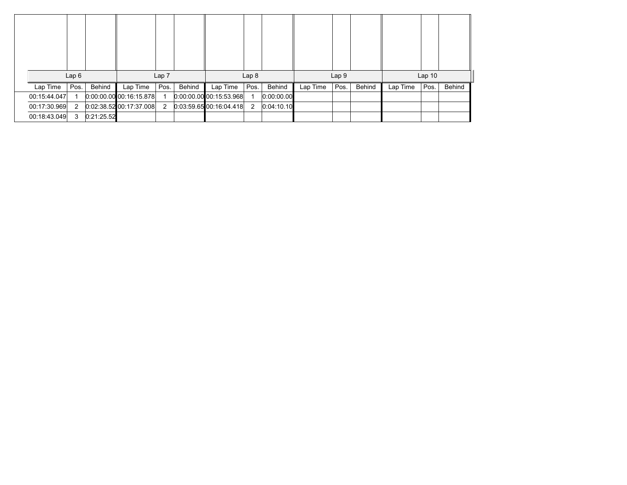|              | Lap6 |            |                           | Lap 7 |        |                         | Lap <sub>8</sub> |            |          | Lap 9 |        |          | Lap <sub>10</sub> |        |
|--------------|------|------------|---------------------------|-------|--------|-------------------------|------------------|------------|----------|-------|--------|----------|-------------------|--------|
| Lap Time     | Pos. | Behind     | Lap Time                  | Pos.  | Behind | Lap Time                | Pos.             | Behind     | Lap Time | Pos.  | Behind | Lap Time | Pos.              | Behind |
| 00:15:44.047 |      |            | $0.00.00.00$ 00:16:15.878 |       |        | 0:00:00.00 00:15:53.968 |                  | 0:00:00.00 |          |       |        |          |                   |        |
| 00:17:30.969 | 2    |            | 0.02.38.5200.17.37.008    | 2     |        | 0.03:59.6500:16:04.418  | 2                | 0.04:10.10 |          |       |        |          |                   |        |
| 00:18:43.049 | 3    | 0:21:25.52 |                           |       |        |                         |                  |            |          |       |        |          |                   |        |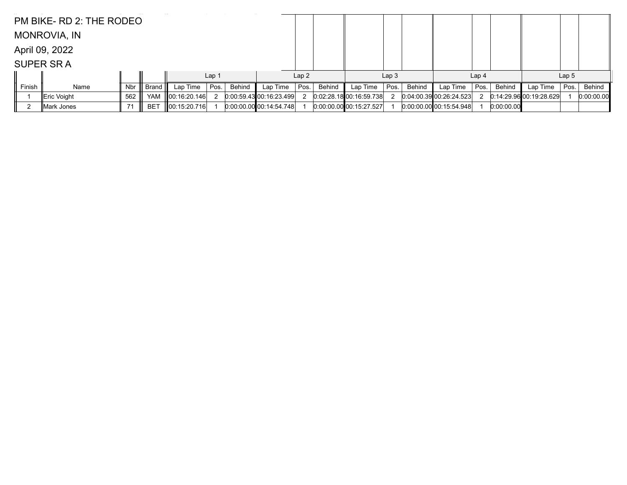|        | PM BIKE- RD 2: THE RODEO |     |                 |                    |                  |        |                           |      |        |                             |                  |        |                           |                  |               |                         |                  |            |
|--------|--------------------------|-----|-----------------|--------------------|------------------|--------|---------------------------|------|--------|-----------------------------|------------------|--------|---------------------------|------------------|---------------|-------------------------|------------------|------------|
|        | MONROVIA, IN             |     |                 |                    |                  |        |                           |      |        |                             |                  |        |                           |                  |               |                         |                  |            |
|        | April 09, 2022           |     |                 |                    |                  |        |                           |      |        |                             |                  |        |                           |                  |               |                         |                  |            |
|        | <b>SUPER SRA</b>         |     |                 |                    |                  |        |                           |      |        |                             |                  |        |                           |                  |               |                         |                  |            |
|        |                          |     |                 |                    | Lap <sub>1</sub> |        |                           | Lap2 |        |                             | Lap <sub>3</sub> |        |                           | Lap <sub>4</sub> |               |                         | Lap <sub>5</sub> |            |
| Finish | Name                     | Nbr | Brand           | Lap Time           | Pos.             | Behind | Lap Time                  | Pos. | Behind | Lap Time                    | Pos.             | Behind | Lap Time                  | Pos.             | <b>Behind</b> | Lap Time                | Pos.             | Behind     |
|        | ∥Eric Voight             | 562 | <b>YAM</b>      | $\ 00:16:20.146\ $ |                  |        | 0:00:59.43[00:16:23.499]  |      |        | 0.02:28.18100:16:59.738     |                  |        | 0.04:00.3900:26:24.523    |                  |               | 0.14.29.96100.19.28.629 |                  | 0:00:00.00 |
|        | Mark Jones               | -71 | BE <sup>T</sup> | 00:15:20.716       |                  |        | $0:00:00.00$ 00:14:54.748 |      |        | $[0:00:00.00]$ 00:15:27.527 |                  |        | $0.00.00.00$ 00:15:54.948 |                  | 0:00:00.00    |                         |                  |            |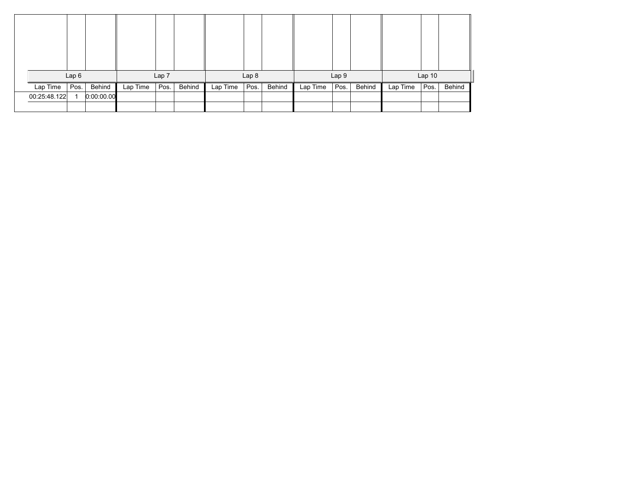|              | Lap6 |            |          | Lap 7 |        |          | Lap <sub>8</sub> |        |          | Lap 9 |        |          | Lap <sub>10</sub> |        |
|--------------|------|------------|----------|-------|--------|----------|------------------|--------|----------|-------|--------|----------|-------------------|--------|
| Lap Time     | Pos. | Behind     | Lap Time | Pos.  | Behind | Lap Time | Pos.             | Behind | Lap Time | Pos.  | Behind | Lap Time | Pos.              | Behind |
| 00:25:48.122 |      | 0:00:00.00 |          |       |        |          |                  |        |          |       |        |          |                   |        |
|              |      |            |          |       |        |          |                  |        |          |       |        |          |                   |        |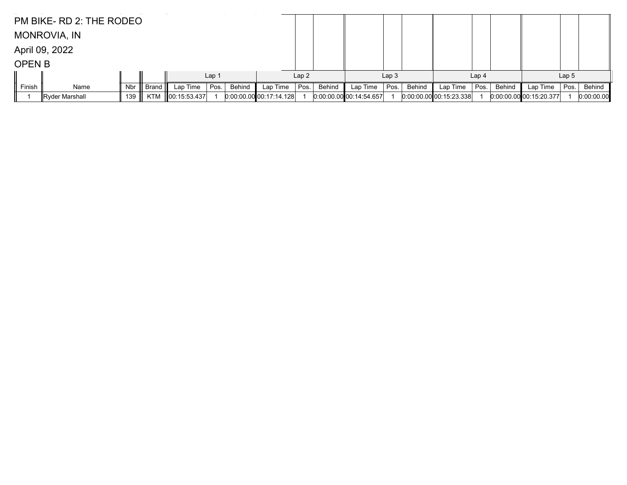|               | PM BIKE- RD 2: THE RODEO |     |            |                    |                  |        |                           |      |        |                           |                  |        |                           |                  |        |                           |                  |            |
|---------------|--------------------------|-----|------------|--------------------|------------------|--------|---------------------------|------|--------|---------------------------|------------------|--------|---------------------------|------------------|--------|---------------------------|------------------|------------|
|               | <b>MONROVIA, IN</b>      |     |            |                    |                  |        |                           |      |        |                           |                  |        |                           |                  |        |                           |                  |            |
|               | April 09, 2022           |     |            |                    |                  |        |                           |      |        |                           |                  |        |                           |                  |        |                           |                  |            |
| <b>OPEN B</b> |                          |     |            |                    |                  |        |                           |      |        |                           |                  |        |                           |                  |        |                           |                  |            |
|               |                          |     |            |                    | Lap <sub>1</sub> |        |                           | Lap2 |        |                           | Lap <sub>3</sub> |        |                           | Lap <sub>4</sub> |        |                           | Lap <sub>5</sub> |            |
| Finish        | Name                     | Nbr | Brand      | Lap Time           | Pos.             | Behind | Lap Time                  | Pos. | Behind | Lap Time                  | Pos.             | Behind | Lap Time                  | Pos.             | Behind | Lap Time                  | Pos.             | Behind     |
|               | Ryder Marshall           | 139 | <b>KTM</b> | $\ 00:15:53.437\ $ |                  |        | $0.00.00.00$ 00:17:14.128 |      |        | $0:00.00.00$ 00:14:54.657 |                  |        | $0:00:00.00$ 00:15:23.338 |                  |        | $0:00:00.00$ 00:15:20.377 |                  | 0:00:00.00 |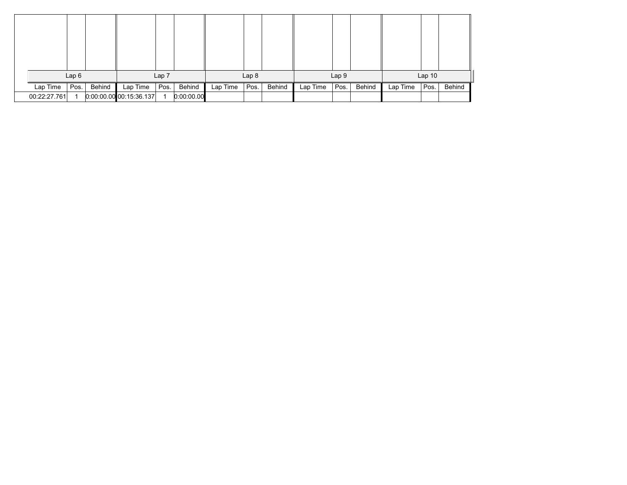|                          | Lap6 |        |                                       | Lap 7 |                      |          | Lap <sub>8</sub> |        |          | Lap 9 |        |          | Lap <sub>10</sub> |        |
|--------------------------|------|--------|---------------------------------------|-------|----------------------|----------|------------------|--------|----------|-------|--------|----------|-------------------|--------|
| Lap Time<br>00:22:27.761 | Pos. | Behind | Lap Time<br>$0.00.00.00$ 00:15:36.137 | Pos.  | Behind<br>0:00:00.00 | Lap Time | Pos.             | Behind | Lap Time | Pos.  | Behind | Lap Time | Pos.              | Behind |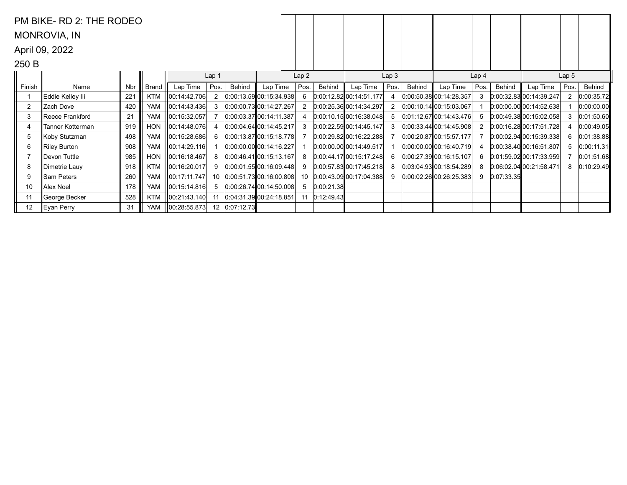|                | PM BIKE-RD 2: THE RODEO |     |              |                    |                  |               |                                 |      |            |                           |                  |        |                           |                  |            |                             |                  |            |
|----------------|-------------------------|-----|--------------|--------------------|------------------|---------------|---------------------------------|------|------------|---------------------------|------------------|--------|---------------------------|------------------|------------|-----------------------------|------------------|------------|
|                | <b>MONROVIA, IN</b>     |     |              |                    |                  |               |                                 |      |            |                           |                  |        |                           |                  |            |                             |                  |            |
|                | April 09, 2022          |     |              |                    |                  |               |                                 |      |            |                           |                  |        |                           |                  |            |                             |                  |            |
| 250 B          |                         |     |              |                    |                  |               |                                 |      |            |                           |                  |        |                           |                  |            |                             |                  |            |
|                |                         |     |              |                    | Lap <sub>1</sub> |               |                                 | Lap2 |            |                           | Lap <sub>3</sub> |        |                           | Lap <sub>4</sub> |            |                             | Lap <sub>5</sub> |            |
| Finish         | Name                    | Nbr | <b>Brand</b> | Lap Time           | Pos.             | Behind        | Lap Time                        | Pos. | Behind     | Lap Time                  | Pos.             | Behind | Lap Time                  | Pos.             | Behind     | Lap Time                    | Pos.             | Behind     |
|                | ∥Eddie Kelley lii       | 221 | KTM          | ∥00:14:42.706      | 2                |               | 0.00:13.59 00:15:34.938         |      |            | $0.00:12.82$ 00:14:51.177 |                  |        | 0.00.50.38000.14.28.357   | 3                |            | $0:00:32.83$ 00:14:39.247   |                  | 0:00:35.72 |
| $\overline{2}$ | ∥Zach Dove              | 420 | <b>YAM</b>   | 00:14:43.436       | 3                |               | 0.00:00.73 00:14:27.267         |      |            | 0.00.25.36 00:14:34.297   |                  |        | 0.00.10.14 00.15.03.067   |                  |            | $0:00:00.00$ 00:14:52.638   |                  | 0:00:00.00 |
| 3              | ∥Reece Frankford        | 21  | <b>YAM</b>   | ∥00:15:32.057      |                  |               | $0:00:03.37$ 00:14:11.387       |      |            | [0.00:10.15:00:16:38.048] |                  |        | $0.01:12.67$ 00:14:43.476 | 5                |            | 0:00.49.3800:15:02.058      |                  | 0:01:50.60 |
| $\overline{4}$ | Tanner Kotterman        | 919 | <b>HON</b>   | 00:14:48.076       | 4                |               | 0.00.04.64 00.14.45.217         |      |            | 0:00:22.59 00:14:45.147   | 3                |        | 0.00:33.44[00:14:45.908]  | 2                |            | 0.00:16.2800:17:51.728      |                  | 0:00:49.05 |
| 5              | ∥Koby Stutzman          | 498 | <b>YAM</b>   | 00:15:28.686       | 6                |               | $[0.00:13.87]$ 00:15:18.778     |      |            | $0:00:29.82$ 00:16:22.288 |                  |        | $0:00:20.87$ 00:15:57.177 |                  |            | $[0:00:02.94]$ 00:15:39.338 | 6                | 0:01:38.88 |
| 6              | Riley Burton            | 908 | <b>YAM</b>   | ∥00:14:29.116      |                  |               | $[0.00:00.00]$ 00:14:16.227     |      |            | $0:00:00.00$ 00:14:49.517 |                  |        | $0.00.00.00$ 00:16:40.719 |                  |            | 0.00:38.40 00:16:51.807     |                  | 0:00:11.31 |
| $\overline{7}$ | ∥Devon Tuttle           | 985 | <b>HON</b>   | ∥00:16:18.467      | 8                |               | 0:00:46.41[00:15:13.167]        |      |            | 0.00.44.1700.15.17.248    |                  |        | 0.00.27.39 00.16.15.107   | 6                |            | $0.01:59.02$ 00:17:33.959   |                  | 0:01:51.68 |
| 8              | ∥Dimetrie Lauy          | 918 | <b>KTM</b>   | 00:16:20.017       | 9                |               | 0.00.01.55000.16.09.448         |      |            | $0:00:57.83$ 00:17:45.218 |                  |        | 0.03:04.93[00:18:54.289]  | 8                |            | 0.06:02.0400:21:58.471      | 8                | 0:10:29.49 |
| 9              | ∥Sam Peters             | 260 | <b>YAM</b>   | ∥00:17:11.747      | 10               |               | 0.00:51.73[00:16:00.808]        | 10   |            | 0.00.43.0900.17.04.388    |                  |        | $0:00:02.26$ 00:26:25.383 | 9                | 0:07:33.35 |                             |                  |            |
| 10             | Alex Noel               | 178 | <b>YAM</b>   | ∥00:15:14.816      | $5^{\circ}$      |               | 0.00:26.7400:14:50.008          |      | 0:00:21.38 |                           |                  |        |                           |                  |            |                             |                  |            |
| 11             | ∥George Becker          | 528 | <b>KTM</b>   | 00:21:43.140       |                  |               | $[0.04.31.39]$ $[00.24.18.851]$ |      | 0:12:49.43 |                           |                  |        |                           |                  |            |                             |                  |            |
| 12             | ∥Eyan Perry             | 31  | YAM          | $\ 00:28:55.873\ $ |                  | 12 0:07:12.73 |                                 |      |            |                           |                  |        |                           |                  |            |                             |                  |            |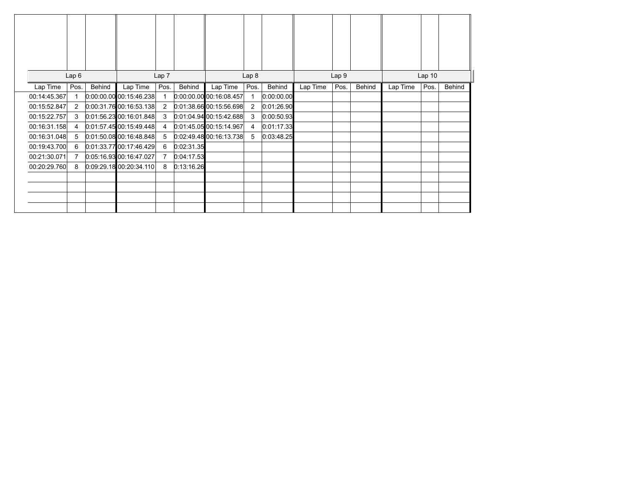|              | Lap6 |        |                           | Lap 7          |            |                           | Lap 8          |            |          | Lap 9 |        |          | Lap <sub>10</sub> |               |
|--------------|------|--------|---------------------------|----------------|------------|---------------------------|----------------|------------|----------|-------|--------|----------|-------------------|---------------|
| Lap Time     | Pos. | Behind | Lap Time                  | Pos.           | Behind     | Lap Time                  | Pos.           | Behind     | Lap Time | Pos.  | Behind | Lap Time | Pos.              | <b>Behind</b> |
| 00:14:45.367 |      |        | $0.00.00.00$ 00:15:46.238 |                |            | $0.00.00.00$ 00:16:08.457 |                | 0:00:00.00 |          |       |        |          |                   |               |
| 00:15:52.847 | 2    |        | 0.00.31.76000.16.53.138   | $\overline{2}$ |            | $0:01:38.66$ 00:15:56.698 | $\overline{2}$ | 0:01:26.90 |          |       |        |          |                   |               |
| 00:15:22.757 | 3    |        | $0.01:56.23$ 00:16:01.848 | 3              |            | $0:01:04.94$ 00:15:42.688 | 3              | 0:00:50.93 |          |       |        |          |                   |               |
| 00:16:31.158 | 4    |        | 0.01.57.4500.15.49.448    | 4              |            | $0:01:45.05$ 00:15:14.967 | 4              | 0:01:17.33 |          |       |        |          |                   |               |
| 00:16:31.048 | 5    |        | $0.01:50.08$ 00:16:48.848 | 5              |            | 0:02:49.48 00:16:13.738   | 5              | 0:03:48.25 |          |       |        |          |                   |               |
| 00:19:43.700 | 6    |        | $0.01.33.77$ 00:17:46.429 | 6              | 0:02:31.35 |                           |                |            |          |       |        |          |                   |               |
| 00:21:30.071 |      |        | $0.05:16.93$ 00:16:47.027 | 7              | 0:04:17.53 |                           |                |            |          |       |        |          |                   |               |
| 00:20:29.760 | 8    |        | 0.09.29.1800.20.34.110    | 8              | 0:13:16.26 |                           |                |            |          |       |        |          |                   |               |
|              |      |        |                           |                |            |                           |                |            |          |       |        |          |                   |               |
|              |      |        |                           |                |            |                           |                |            |          |       |        |          |                   |               |
|              |      |        |                           |                |            |                           |                |            |          |       |        |          |                   |               |
|              |      |        |                           |                |            |                           |                |            |          |       |        |          |                   |               |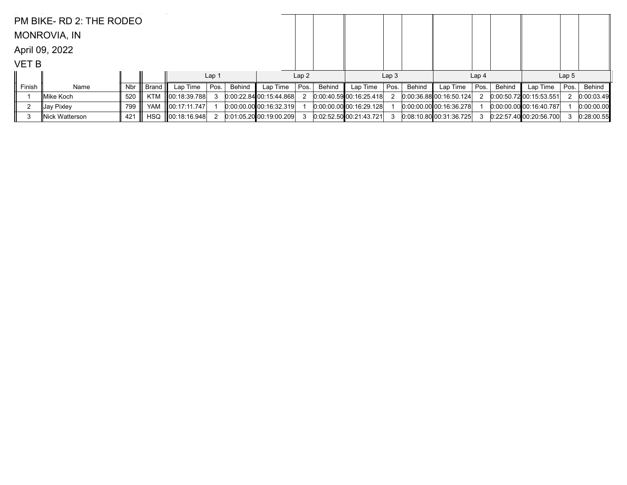|              | PM BIKE- RD 2: THE RODEO |     |            |                   |                  |        |                           |      |        |                         |                  |        |                           |                  |        |                             |                  |            |
|--------------|--------------------------|-----|------------|-------------------|------------------|--------|---------------------------|------|--------|-------------------------|------------------|--------|---------------------------|------------------|--------|-----------------------------|------------------|------------|
|              | <b>MONROVIA, IN</b>      |     |            |                   |                  |        |                           |      |        |                         |                  |        |                           |                  |        |                             |                  |            |
|              | April 09, 2022           |     |            |                   |                  |        |                           |      |        |                         |                  |        |                           |                  |        |                             |                  |            |
| <b>VET B</b> |                          |     |            |                   |                  |        |                           |      |        |                         |                  |        |                           |                  |        |                             |                  |            |
|              |                          |     |            |                   | Lap <sub>1</sub> |        |                           | Lap2 |        |                         | Lap <sub>3</sub> |        |                           | Lap <sub>4</sub> |        |                             | Lap <sub>5</sub> |            |
| Finish       | Name                     | Nbr | Brand I    | Lap Time $ Pos$ . |                  | Behind | Lap Time                  | Pos. | Behind | Lap Time                | Pos.             | Behind | Lap Time                  | Pos.             | Behind | Lap Time                    | Pos.             | Behind     |
|              | ∥Mike Koch               | 520 | KTM        | 00:18:39.788      |                  |        | $0:00:22.84$ 00:15:44.868 |      |        | 0.00:40.59 00:16.25.418 |                  |        | $0:00:36.88$ 00:16:50.124 |                  |        | 0.00:50.7200:15:53.551      |                  | 0:00:03.49 |
|              | ∥Jay Pixley              | 799 |            | YAM 100:17:11.747 |                  |        | 0.00.00.00 00.16.32.319   |      |        | 0.00.00.00000:16.29.128 |                  |        | 0.00.00.00000:16.36.278   |                  |        | $[0.00.00.00]$ 00:16:40.787 |                  | 0:00:00.00 |
| 3            | Nick Watterson           | 421 | <b>HSQ</b> | 00:18:16.948      |                  |        | $0:01:05.20$ 00:19:00.209 |      |        | 0:02:52.50 00:21:43.721 |                  |        | $0.08:10.80$ 00:31:36.725 |                  |        | 0.22:57.40[00.20:56.700]    | 3                | 0:28:00.55 |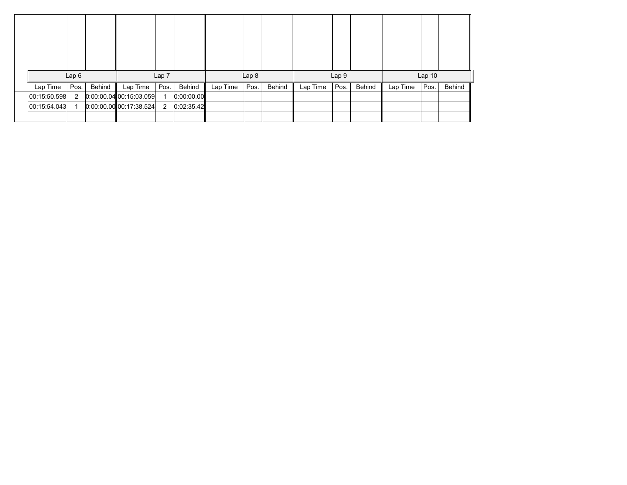|              | Lap6 |        |                           | Lap 7 |            |          | Lap <sub>8</sub> |        |          | Lap 9 |        |          | $Lap$ 10 |        |
|--------------|------|--------|---------------------------|-------|------------|----------|------------------|--------|----------|-------|--------|----------|----------|--------|
| Lap Time     | Pos. | Behind | Lap Time                  | Pos.  | Behind     | Lap Time | Pos.             | Behind | Lap Time | Pos.  | Behind | Lap Time | Pos.     | Behind |
| 00:15:50.598 | 2    |        | $0:00:00.04$ 00:15:03.059 |       | 0:00:00.00 |          |                  |        |          |       |        |          |          |        |
| 00:15:54.043 |      |        | $0:00:00.00$ 00:17:38.524 | 2     | 0:02:35.42 |          |                  |        |          |       |        |          |          |        |
|              |      |        |                           |       |            |          |                  |        |          |       |        |          |          |        |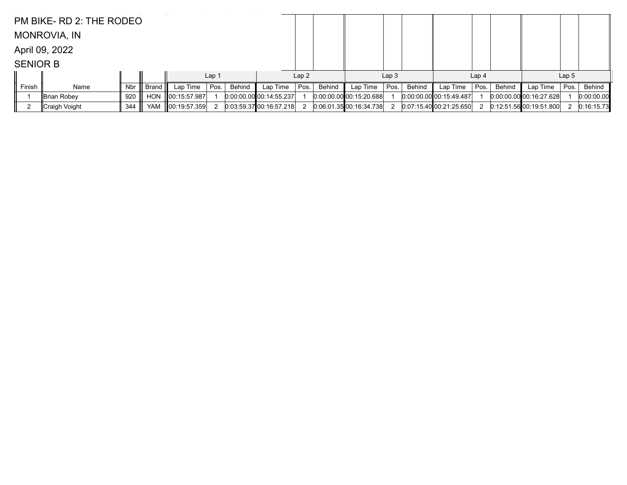|                 | PM BIKE-RD 2: THE RODEO |     |            |              |                  |        |                           |      |        |                           |                  |        |                           |                  |               |                             |                  |            |
|-----------------|-------------------------|-----|------------|--------------|------------------|--------|---------------------------|------|--------|---------------------------|------------------|--------|---------------------------|------------------|---------------|-----------------------------|------------------|------------|
|                 | <b>MONROVIA, IN</b>     |     |            |              |                  |        |                           |      |        |                           |                  |        |                           |                  |               |                             |                  |            |
|                 | April 09, 2022          |     |            |              |                  |        |                           |      |        |                           |                  |        |                           |                  |               |                             |                  |            |
| <b>SENIOR B</b> |                         |     |            |              |                  |        |                           |      |        |                           |                  |        |                           |                  |               |                             |                  |            |
|                 |                         |     |            |              | Lap <sub>1</sub> |        |                           | Lap2 |        |                           | Lap <sub>3</sub> |        |                           | Lap <sub>4</sub> |               |                             | Lap <sub>5</sub> |            |
| Finish          | Name                    | Nbr | Brand II   | Lap Time     | Pos.             | Behind | Lap Time                  | Pos. | Behind | Lap Time                  | Pos.             | Behind | Lap Time                  | Pos.             | <b>Behind</b> | Lap Time                    | Pos.             | Behind     |
|                 | Brian Robey             | 920 | <b>HON</b> | 00:15:57.987 |                  |        | $0.00:00.00$ 00:14:55.237 |      |        | $0:00:00.00$ 00:15:20.688 |                  |        | $0.00.00.00$ 00:15:49.487 |                  |               | $[0.00.00.00]$ 00:16:27.628 |                  | 0:00:00.00 |
|                 | ∥Craigh Voight          | 344 | <b>YAM</b> | 00:19:57.359 |                  |        | 0:03:59.37100:16:57.218   |      |        | 0.06:01.35:00:16:34.738   |                  |        | 0.07:15.4000:21:25.650    |                  |               | $0:12:51.56$ 00:19:51.800   |                  | 0:16:15.73 |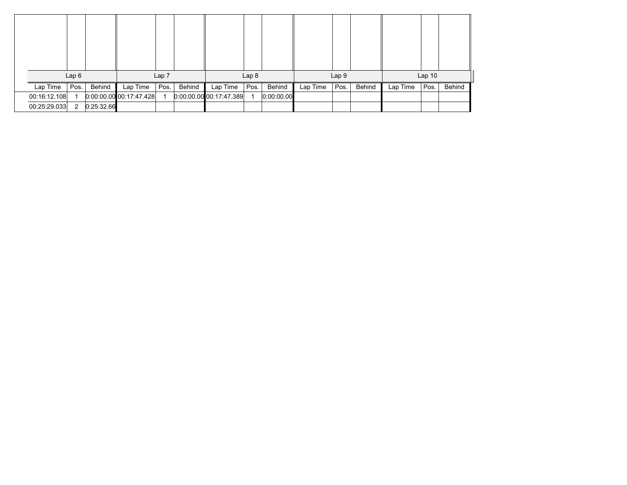|              | Lap6           |            |                           | Lap 7 |        |                              | Lap <sub>8</sub> |            |          | Lap 9 |        |          | Lap <sub>10</sub> |        |
|--------------|----------------|------------|---------------------------|-------|--------|------------------------------|------------------|------------|----------|-------|--------|----------|-------------------|--------|
| Lap Time     | Pos.           | Behind     | Lap Time                  | Pos.  | Behind | Lap Time                     | Pos.             | Behind     | Lap Time | Pos.  | Behind | Lap Time | Pos.              | Behind |
| 00:16:12.108 |                |            | $0:00:00.00$ 00:17:47.428 |       |        | $0.00.00$ 00:00 00:17:47.389 |                  | 0:00:00.00 |          |       |        |          |                   |        |
| 00:25:29.033 | $\overline{2}$ | 0:25:32.66 |                           |       |        |                              |                  |            |          |       |        |          |                   |        |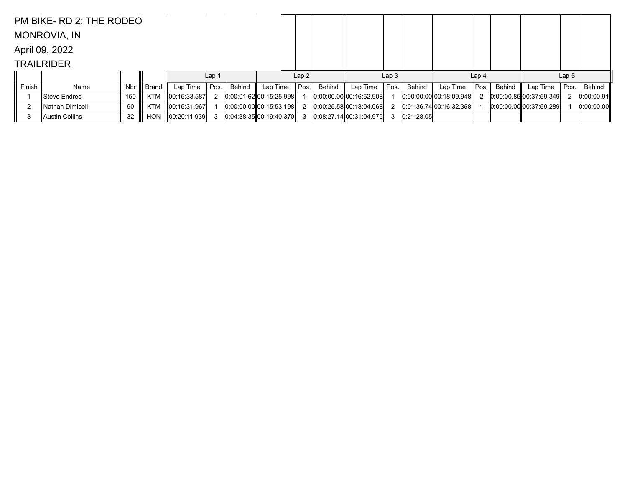|        | PM BIKE-RD 2: THE RODEO |     |            |                    |                  |        |                           |      |        |                         |                  |            |                           |                  |        |                             |                  |            |
|--------|-------------------------|-----|------------|--------------------|------------------|--------|---------------------------|------|--------|-------------------------|------------------|------------|---------------------------|------------------|--------|-----------------------------|------------------|------------|
|        | <b>MONROVIA, IN</b>     |     |            |                    |                  |        |                           |      |        |                         |                  |            |                           |                  |        |                             |                  |            |
|        | April 09, 2022          |     |            |                    |                  |        |                           |      |        |                         |                  |            |                           |                  |        |                             |                  |            |
|        | <b>TRAILRIDER</b>       |     |            |                    |                  |        |                           |      |        |                         |                  |            |                           |                  |        |                             |                  |            |
|        |                         |     |            |                    | Lap <sub>1</sub> |        |                           | Lap2 |        |                         | Lap <sub>3</sub> |            |                           | Lap <sub>4</sub> |        |                             | Lap <sub>5</sub> |            |
| Finish | Name                    | Nbr | Brand I    | Lap Time $ Pos$ .  |                  | Behind | Lap Time                  | Pos. | Behind | Lap Time                | Pos.             | Behind     | Lap Time                  | Pos.             | Behind | Lap Time                    | Pos.             | Behind     |
|        | ∥Steve Endres           | 150 | <b>KTM</b> | $\ 00:15:33.587\ $ | $\mathbf{2}$     |        | 0.00:01.62 00:15:25.998   |      |        | 0.00.00.00 00.16.52.908 |                  |            | $0.00.00.00$ 00:18:09.948 |                  |        | $[0.00:00.85]$ 00:37:59.349 |                  | 0:00:00.91 |
|        | ∥Nathan Dimiceli        | 90  | KTM        | 00:15:31.967       |                  |        | $0:00:00.00$ 00:15:53.198 |      |        | 0:00:25.5800:18.04.068  |                  |            | $0:01:36.74$ 00:16:32.358 |                  |        | 0.00.00.0000037:59.289      |                  | 0:00:00.00 |
| 3      | ∥Austin Collins         | 32  | <b>HON</b> | 00:20:11.939       |                  |        | 0.04.38.35 00.19.40.370   |      |        | 0.08:27.1400:31:04.975  |                  | 0:21:28.05 |                           |                  |        |                             |                  |            |